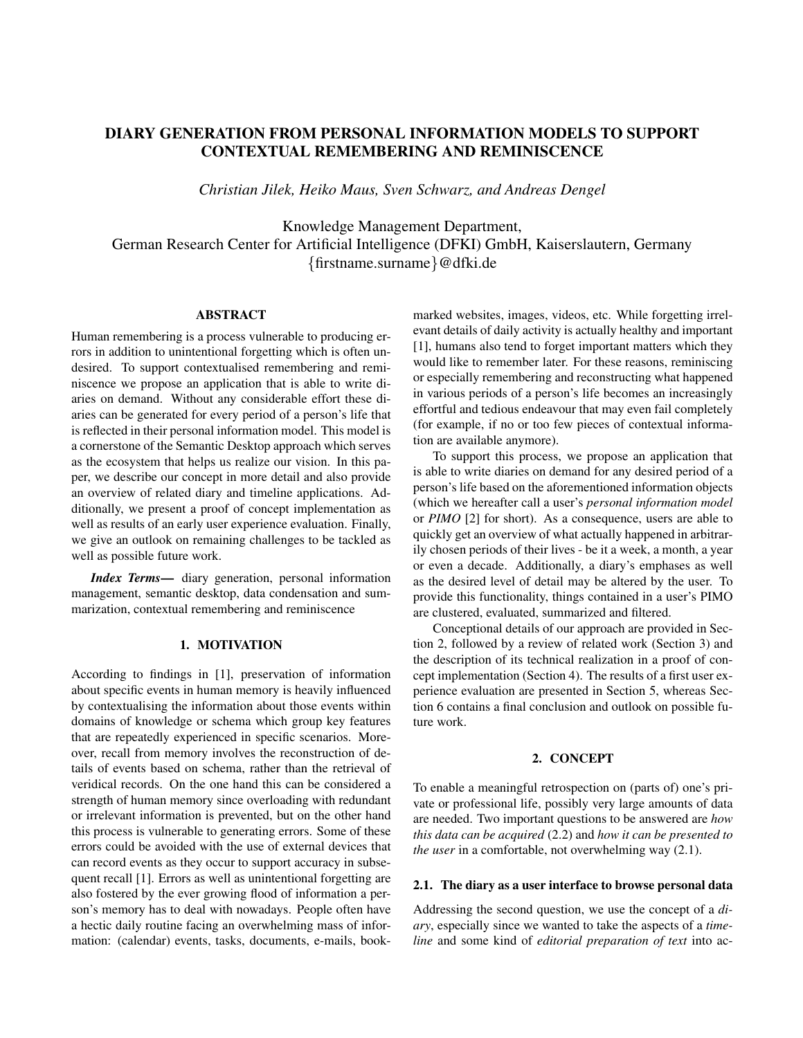# DIARY GENERATION FROM PERSONAL INFORMATION MODELS TO SUPPORT CONTEXTUAL REMEMBERING AND REMINISCENCE

*Christian Jilek, Heiko Maus, Sven Schwarz, and Andreas Dengel*

Knowledge Management Department, German Research Center for Artificial Intelligence (DFKI) GmbH, Kaiserslautern, Germany {firstname.surname}@dfki.de

#### ABSTRACT

Human remembering is a process vulnerable to producing errors in addition to unintentional forgetting which is often undesired. To support contextualised remembering and reminiscence we propose an application that is able to write diaries on demand. Without any considerable effort these diaries can be generated for every period of a person's life that is reflected in their personal information model. This model is a cornerstone of the Semantic Desktop approach which serves as the ecosystem that helps us realize our vision. In this paper, we describe our concept in more detail and also provide an overview of related diary and timeline applications. Additionally, we present a proof of concept implementation as well as results of an early user experience evaluation. Finally, we give an outlook on remaining challenges to be tackled as well as possible future work.

*Index Terms*— diary generation, personal information management, semantic desktop, data condensation and summarization, contextual remembering and reminiscence

## 1. MOTIVATION

According to findings in [1], preservation of information about specific events in human memory is heavily influenced by contextualising the information about those events within domains of knowledge or schema which group key features that are repeatedly experienced in specific scenarios. Moreover, recall from memory involves the reconstruction of details of events based on schema, rather than the retrieval of veridical records. On the one hand this can be considered a strength of human memory since overloading with redundant or irrelevant information is prevented, but on the other hand this process is vulnerable to generating errors. Some of these errors could be avoided with the use of external devices that can record events as they occur to support accuracy in subsequent recall [1]. Errors as well as unintentional forgetting are also fostered by the ever growing flood of information a person's memory has to deal with nowadays. People often have a hectic daily routine facing an overwhelming mass of information: (calendar) events, tasks, documents, e-mails, bookmarked websites, images, videos, etc. While forgetting irrelevant details of daily activity is actually healthy and important [1], humans also tend to forget important matters which they would like to remember later. For these reasons, reminiscing or especially remembering and reconstructing what happened in various periods of a person's life becomes an increasingly effortful and tedious endeavour that may even fail completely (for example, if no or too few pieces of contextual information are available anymore).

To support this process, we propose an application that is able to write diaries on demand for any desired period of a person's life based on the aforementioned information objects (which we hereafter call a user's *personal information model* or *PIMO* [2] for short). As a consequence, users are able to quickly get an overview of what actually happened in arbitrarily chosen periods of their lives - be it a week, a month, a year or even a decade. Additionally, a diary's emphases as well as the desired level of detail may be altered by the user. To provide this functionality, things contained in a user's PIMO are clustered, evaluated, summarized and filtered.

Conceptional details of our approach are provided in Section 2, followed by a review of related work (Section 3) and the description of its technical realization in a proof of concept implementation (Section 4). The results of a first user experience evaluation are presented in Section 5, whereas Section 6 contains a final conclusion and outlook on possible future work.

## 2. CONCEPT

To enable a meaningful retrospection on (parts of) one's private or professional life, possibly very large amounts of data are needed. Two important questions to be answered are *how this data can be acquired* (2.2) and *how it can be presented to the user* in a comfortable, not overwhelming way (2.1).

#### 2.1. The diary as a user interface to browse personal data

Addressing the second question, we use the concept of a *diary*, especially since we wanted to take the aspects of a *timeline* and some kind of *editorial preparation of text* into ac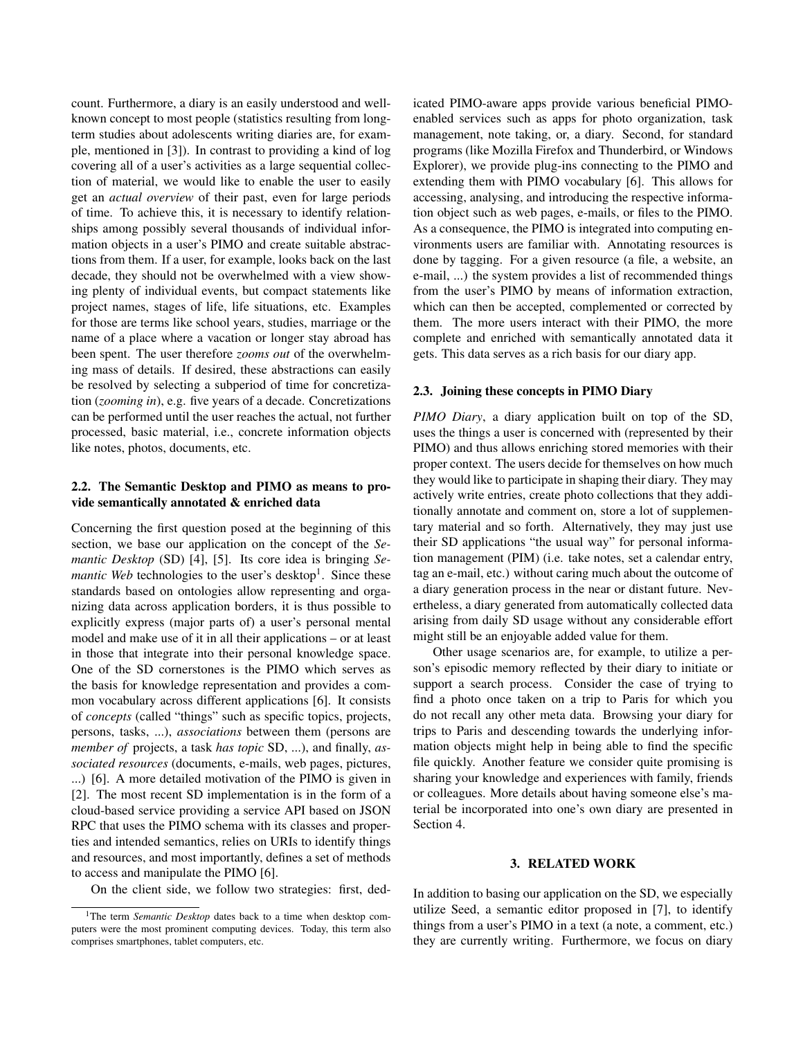count. Furthermore, a diary is an easily understood and wellknown concept to most people (statistics resulting from longterm studies about adolescents writing diaries are, for example, mentioned in [3]). In contrast to providing a kind of log covering all of a user's activities as a large sequential collection of material, we would like to enable the user to easily get an *actual overview* of their past, even for large periods of time. To achieve this, it is necessary to identify relationships among possibly several thousands of individual information objects in a user's PIMO and create suitable abstractions from them. If a user, for example, looks back on the last decade, they should not be overwhelmed with a view showing plenty of individual events, but compact statements like project names, stages of life, life situations, etc. Examples for those are terms like school years, studies, marriage or the name of a place where a vacation or longer stay abroad has been spent. The user therefore *zooms out* of the overwhelming mass of details. If desired, these abstractions can easily be resolved by selecting a subperiod of time for concretization (*zooming in*), e.g. five years of a decade. Concretizations can be performed until the user reaches the actual, not further processed, basic material, i.e., concrete information objects like notes, photos, documents, etc.

## 2.2. The Semantic Desktop and PIMO as means to provide semantically annotated & enriched data

Concerning the first question posed at the beginning of this section, we base our application on the concept of the *Semantic Desktop* (SD) [4], [5]. Its core idea is bringing *Semantic Web* technologies to the user's desktop<sup>1</sup>. Since these standards based on ontologies allow representing and organizing data across application borders, it is thus possible to explicitly express (major parts of) a user's personal mental model and make use of it in all their applications – or at least in those that integrate into their personal knowledge space. One of the SD cornerstones is the PIMO which serves as the basis for knowledge representation and provides a common vocabulary across different applications [6]. It consists of *concepts* (called "things" such as specific topics, projects, persons, tasks, ...), *associations* between them (persons are *member of* projects, a task *has topic* SD, ...), and finally, *associated resources* (documents, e-mails, web pages, pictures, ...) [6]. A more detailed motivation of the PIMO is given in [2]. The most recent SD implementation is in the form of a cloud-based service providing a service API based on JSON RPC that uses the PIMO schema with its classes and properties and intended semantics, relies on URIs to identify things and resources, and most importantly, defines a set of methods to access and manipulate the PIMO [6].

On the client side, we follow two strategies: first, ded-

icated PIMO-aware apps provide various beneficial PIMOenabled services such as apps for photo organization, task management, note taking, or, a diary. Second, for standard programs (like Mozilla Firefox and Thunderbird, or Windows Explorer), we provide plug-ins connecting to the PIMO and extending them with PIMO vocabulary [6]. This allows for accessing, analysing, and introducing the respective information object such as web pages, e-mails, or files to the PIMO. As a consequence, the PIMO is integrated into computing environments users are familiar with. Annotating resources is done by tagging. For a given resource (a file, a website, an e-mail, ...) the system provides a list of recommended things from the user's PIMO by means of information extraction, which can then be accepted, complemented or corrected by them. The more users interact with their PIMO, the more complete and enriched with semantically annotated data it gets. This data serves as a rich basis for our diary app.

#### 2.3. Joining these concepts in PIMO Diary

*PIMO Diary*, a diary application built on top of the SD, uses the things a user is concerned with (represented by their PIMO) and thus allows enriching stored memories with their proper context. The users decide for themselves on how much they would like to participate in shaping their diary. They may actively write entries, create photo collections that they additionally annotate and comment on, store a lot of supplementary material and so forth. Alternatively, they may just use their SD applications "the usual way" for personal information management (PIM) (i.e. take notes, set a calendar entry, tag an e-mail, etc.) without caring much about the outcome of a diary generation process in the near or distant future. Nevertheless, a diary generated from automatically collected data arising from daily SD usage without any considerable effort might still be an enjoyable added value for them.

Other usage scenarios are, for example, to utilize a person's episodic memory reflected by their diary to initiate or support a search process. Consider the case of trying to find a photo once taken on a trip to Paris for which you do not recall any other meta data. Browsing your diary for trips to Paris and descending towards the underlying information objects might help in being able to find the specific file quickly. Another feature we consider quite promising is sharing your knowledge and experiences with family, friends or colleagues. More details about having someone else's material be incorporated into one's own diary are presented in Section 4.

#### 3. RELATED WORK

In addition to basing our application on the SD, we especially utilize Seed, a semantic editor proposed in [7], to identify things from a user's PIMO in a text (a note, a comment, etc.) they are currently writing. Furthermore, we focus on diary

<sup>&</sup>lt;sup>1</sup>The term *Semantic Desktop* dates back to a time when desktop computers were the most prominent computing devices. Today, this term also comprises smartphones, tablet computers, etc.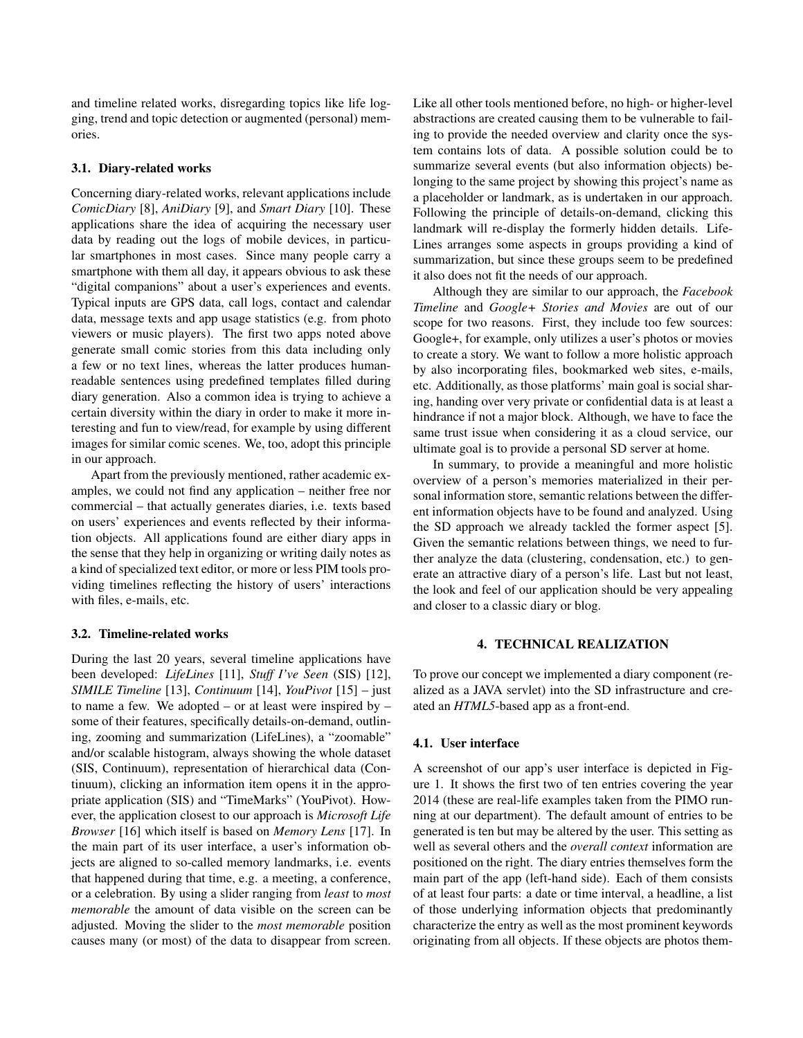and timeline related works, disregarding topics like life logging, trend and topic detection or augmented (personal) memories.

#### 3.1. Diary-related works

Concerning diary-related works, relevant applications include *ComicDiary* [8], *AniDiary* [9], and *Smart Diary* [10]. These applications share the idea of acquiring the necessary user data by reading out the logs of mobile devices, in particular smartphones in most cases. Since many people carry a smartphone with them all day, it appears obvious to ask these "digital companions" about a user's experiences and events. Typical inputs are GPS data, call logs, contact and calendar data, message texts and app usage statistics (e.g. from photo viewers or music players). The first two apps noted above generate small comic stories from this data including only a few or no text lines, whereas the latter produces humanreadable sentences using predefined templates filled during diary generation. Also a common idea is trying to achieve a certain diversity within the diary in order to make it more interesting and fun to view/read, for example by using different images for similar comic scenes. We, too, adopt this principle in our approach.

Apart from the previously mentioned, rather academic examples, we could not find any application – neither free nor commercial – that actually generates diaries, i.e. texts based on users' experiences and events reflected by their information objects. All applications found are either diary apps in the sense that they help in organizing or writing daily notes as a kind of specialized text editor, or more or less PIM tools providing timelines reflecting the history of users' interactions with files, e-mails, etc.

#### 3.2. Timeline-related works

During the last 20 years, several timeline applications have been developed: *LifeLines* [11], *Stuff I've Seen* (SIS) [12], *SIMILE Timeline* [13], *Continuum* [14], *YouPivot* [15] – just to name a few. We adopted  $-$  or at least were inspired by  $$ some of their features, specifically details-on-demand, outlining, zooming and summarization (LifeLines), a "zoomable" and/or scalable histogram, always showing the whole dataset (SIS, Continuum), representation of hierarchical data (Continuum), clicking an information item opens it in the appropriate application (SIS) and "TimeMarks" (YouPivot). However, the application closest to our approach is *Microsoft Life Browser* [16] which itself is based on *Memory Lens* [17]. In the main part of its user interface, a user's information objects are aligned to so-called memory landmarks, i.e. events that happened during that time, e.g. a meeting, a conference, or a celebration. By using a slider ranging from *least* to *most memorable* the amount of data visible on the screen can be adjusted. Moving the slider to the *most memorable* position causes many (or most) of the data to disappear from screen.

Like all other tools mentioned before, no high- or higher-level abstractions are created causing them to be vulnerable to failing to provide the needed overview and clarity once the system contains lots of data. A possible solution could be to summarize several events (but also information objects) belonging to the same project by showing this project's name as a placeholder or landmark, as is undertaken in our approach. Following the principle of details-on-demand, clicking this landmark will re-display the formerly hidden details. Life-Lines arranges some aspects in groups providing a kind of summarization, but since these groups seem to be predefined it also does not fit the needs of our approach.

Although they are similar to our approach, the *Facebook Timeline* and *Google+ Stories and Movies* are out of our scope for two reasons. First, they include too few sources: Google+, for example, only utilizes a user's photos or movies to create a story. We want to follow a more holistic approach by also incorporating files, bookmarked web sites, e-mails, etc. Additionally, as those platforms' main goal is social sharing, handing over very private or confidential data is at least a hindrance if not a major block. Although, we have to face the same trust issue when considering it as a cloud service, our ultimate goal is to provide a personal SD server at home.

In summary, to provide a meaningful and more holistic overview of a person's memories materialized in their personal information store, semantic relations between the different information objects have to be found and analyzed. Using the SD approach we already tackled the former aspect [5]. Given the semantic relations between things, we need to further analyze the data (clustering, condensation, etc.) to generate an attractive diary of a person's life. Last but not least, the look and feel of our application should be very appealing and closer to a classic diary or blog.

## 4. TECHNICAL REALIZATION

To prove our concept we implemented a diary component (realized as a JAVA servlet) into the SD infrastructure and created an *HTML5*-based app as a front-end.

#### 4.1. User interface

A screenshot of our app's user interface is depicted in Figure 1. It shows the first two of ten entries covering the year 2014 (these are real-life examples taken from the PIMO running at our department). The default amount of entries to be generated is ten but may be altered by the user. This setting as well as several others and the *overall context* information are positioned on the right. The diary entries themselves form the main part of the app (left-hand side). Each of them consists of at least four parts: a date or time interval, a headline, a list of those underlying information objects that predominantly characterize the entry as well as the most prominent keywords originating from all objects. If these objects are photos them-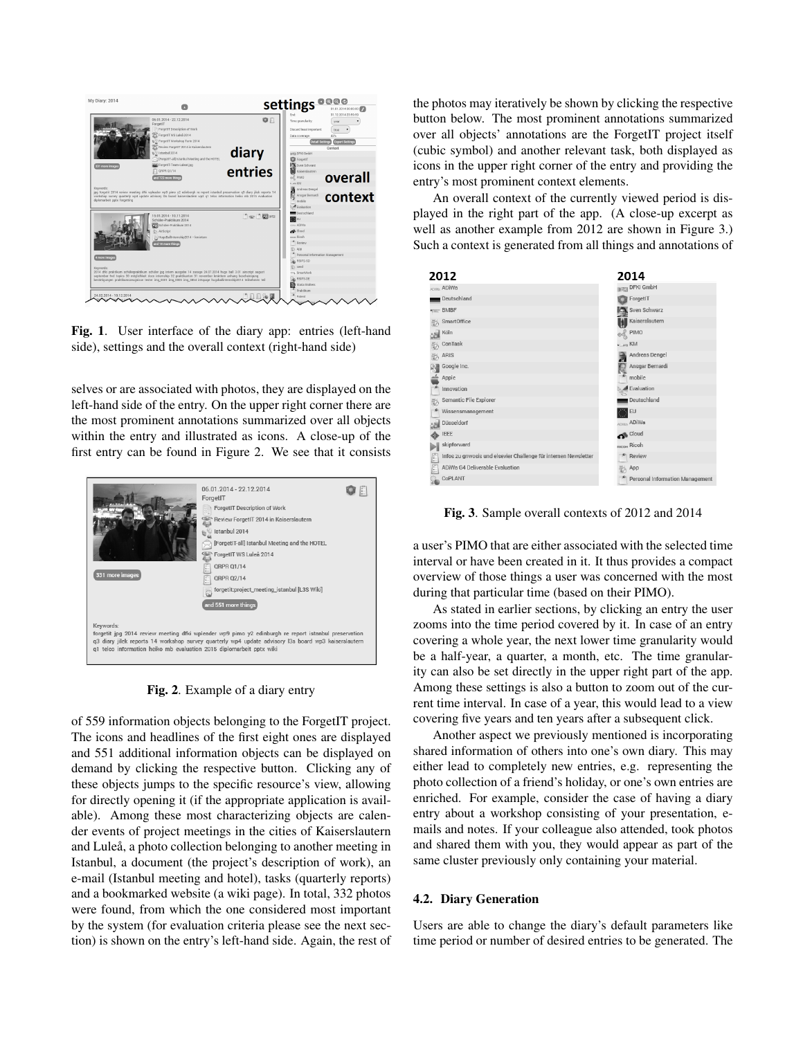

Fig. 1. User interface of the diary app: entries (left-hand side), settings and the overall context (right-hand side)

selves or are associated with photos, they are displayed on the left-hand side of the entry. On the upper right corner there are the most prominent annotations summarized over all objects within the entry and illustrated as icons. A close-up of the first entry can be found in Figure 2. We see that it consists



Fig. 2. Example of a diary entry

of 559 information objects belonging to the ForgetIT project. The icons and headlines of the first eight ones are displayed and 551 additional information objects can be displayed on demand by clicking the respective button. Clicking any of these objects jumps to the specific resource's view, allowing for directly opening it (if the appropriate application is available). Among these most characterizing objects are calender events of project meetings in the cities of Kaiserslautern and Luleå, a photo collection belonging to another meeting in Istanbul, a document (the project's description of work), an e-mail (Istanbul meeting and hotel), tasks (quarterly reports) and a bookmarked website (a wiki page). In total, 332 photos were found, from which the one considered most important by the system (for evaluation criteria please see the next section) is shown on the entry's left-hand side. Again, the rest of the photos may iteratively be shown by clicking the respective button below. The most prominent annotations summarized over all objects' annotations are the ForgetIT project itself (cubic symbol) and another relevant task, both displayed as icons in the upper right corner of the entry and providing the entry's most prominent context elements.

An overall context of the currently viewed period is displayed in the right part of the app. (A close-up excerpt as well as another example from 2012 are shown in Figure 3.) Such a context is generated from all things and annotations of



Fig. 3. Sample overall contexts of 2012 and 2014

a user's PIMO that are either associated with the selected time interval or have been created in it. It thus provides a compact overview of those things a user was concerned with the most during that particular time (based on their PIMO).

As stated in earlier sections, by clicking an entry the user zooms into the time period covered by it. In case of an entry covering a whole year, the next lower time granularity would be a half-year, a quarter, a month, etc. The time granularity can also be set directly in the upper right part of the app. Among these settings is also a button to zoom out of the current time interval. In case of a year, this would lead to a view covering five years and ten years after a subsequent click.

Another aspect we previously mentioned is incorporating shared information of others into one's own diary. This may either lead to completely new entries, e.g. representing the photo collection of a friend's holiday, or one's own entries are enriched. For example, consider the case of having a diary entry about a workshop consisting of your presentation, emails and notes. If your colleague also attended, took photos and shared them with you, they would appear as part of the same cluster previously only containing your material.

## 4.2. Diary Generation

Users are able to change the diary's default parameters like time period or number of desired entries to be generated. The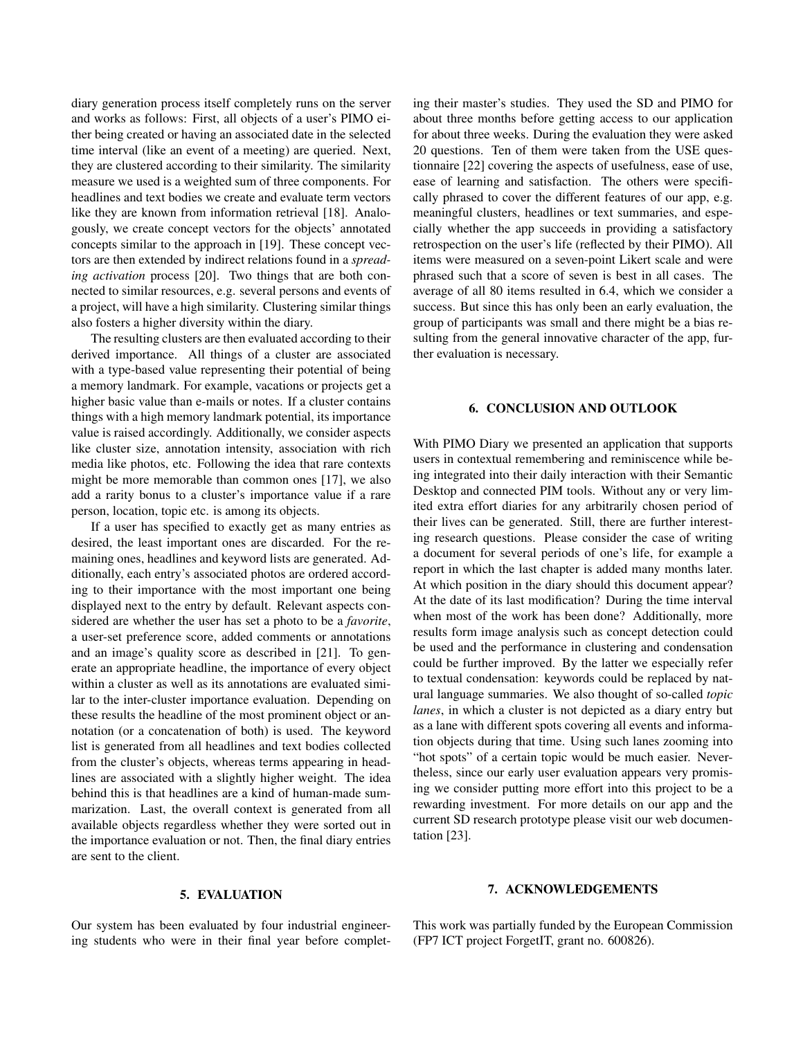diary generation process itself completely runs on the server and works as follows: First, all objects of a user's PIMO either being created or having an associated date in the selected time interval (like an event of a meeting) are queried. Next, they are clustered according to their similarity. The similarity measure we used is a weighted sum of three components. For headlines and text bodies we create and evaluate term vectors like they are known from information retrieval [18]. Analogously, we create concept vectors for the objects' annotated concepts similar to the approach in [19]. These concept vectors are then extended by indirect relations found in a *spreading activation* process [20]. Two things that are both connected to similar resources, e.g. several persons and events of a project, will have a high similarity. Clustering similar things also fosters a higher diversity within the diary.

The resulting clusters are then evaluated according to their derived importance. All things of a cluster are associated with a type-based value representing their potential of being a memory landmark. For example, vacations or projects get a higher basic value than e-mails or notes. If a cluster contains things with a high memory landmark potential, its importance value is raised accordingly. Additionally, we consider aspects like cluster size, annotation intensity, association with rich media like photos, etc. Following the idea that rare contexts might be more memorable than common ones [17], we also add a rarity bonus to a cluster's importance value if a rare person, location, topic etc. is among its objects.

If a user has specified to exactly get as many entries as desired, the least important ones are discarded. For the remaining ones, headlines and keyword lists are generated. Additionally, each entry's associated photos are ordered according to their importance with the most important one being displayed next to the entry by default. Relevant aspects considered are whether the user has set a photo to be a *favorite*, a user-set preference score, added comments or annotations and an image's quality score as described in [21]. To generate an appropriate headline, the importance of every object within a cluster as well as its annotations are evaluated similar to the inter-cluster importance evaluation. Depending on these results the headline of the most prominent object or annotation (or a concatenation of both) is used. The keyword list is generated from all headlines and text bodies collected from the cluster's objects, whereas terms appearing in headlines are associated with a slightly higher weight. The idea behind this is that headlines are a kind of human-made summarization. Last, the overall context is generated from all available objects regardless whether they were sorted out in the importance evaluation or not. Then, the final diary entries are sent to the client.

#### 5. EVALUATION

Our system has been evaluated by four industrial engineering students who were in their final year before completing their master's studies. They used the SD and PIMO for about three months before getting access to our application for about three weeks. During the evaluation they were asked 20 questions. Ten of them were taken from the USE questionnaire [22] covering the aspects of usefulness, ease of use, ease of learning and satisfaction. The others were specifically phrased to cover the different features of our app, e.g. meaningful clusters, headlines or text summaries, and especially whether the app succeeds in providing a satisfactory retrospection on the user's life (reflected by their PIMO). All items were measured on a seven-point Likert scale and were phrased such that a score of seven is best in all cases. The average of all 80 items resulted in 6.4, which we consider a success. But since this has only been an early evaluation, the group of participants was small and there might be a bias resulting from the general innovative character of the app, further evaluation is necessary.

#### 6. CONCLUSION AND OUTLOOK

With PIMO Diary we presented an application that supports users in contextual remembering and reminiscence while being integrated into their daily interaction with their Semantic Desktop and connected PIM tools. Without any or very limited extra effort diaries for any arbitrarily chosen period of their lives can be generated. Still, there are further interesting research questions. Please consider the case of writing a document for several periods of one's life, for example a report in which the last chapter is added many months later. At which position in the diary should this document appear? At the date of its last modification? During the time interval when most of the work has been done? Additionally, more results form image analysis such as concept detection could be used and the performance in clustering and condensation could be further improved. By the latter we especially refer to textual condensation: keywords could be replaced by natural language summaries. We also thought of so-called *topic lanes*, in which a cluster is not depicted as a diary entry but as a lane with different spots covering all events and information objects during that time. Using such lanes zooming into "hot spots" of a certain topic would be much easier. Nevertheless, since our early user evaluation appears very promising we consider putting more effort into this project to be a rewarding investment. For more details on our app and the current SD research prototype please visit our web documentation [23].

#### 7. ACKNOWLEDGEMENTS

This work was partially funded by the European Commission (FP7 ICT project ForgetIT, grant no. 600826).